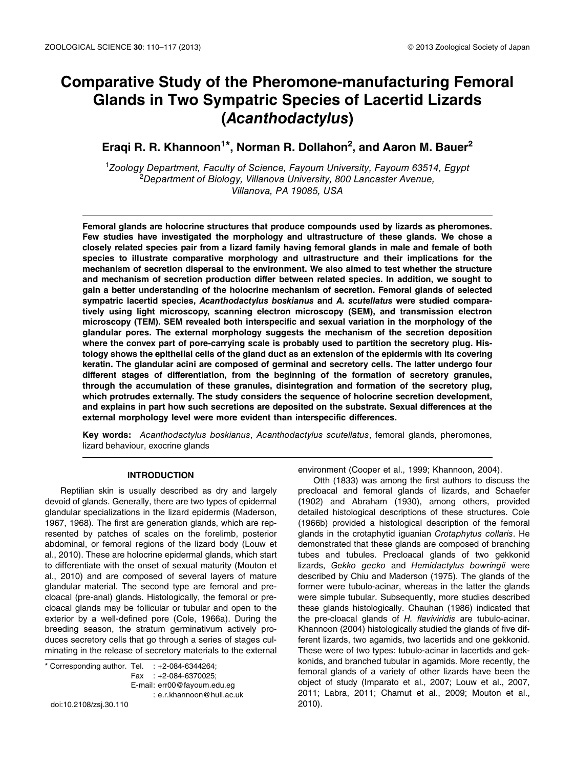# **Comparative Study of the Pheromone-manufacturing Femoral Glands in Two Sympatric Species of Lacertid Lizards (***Acanthodactylus***)**

## **Eraqi R. R. Khannoon1\*, Norman R. Dollahon2, and Aaron M. Bauer2**

<sup>1</sup>*Zoology Department, Faculty of Science, Fayoum University, Fayoum 63514, Egypt* <sup>2</sup>*Department of Biology, Villanova University, 800 Lancaster Avenue, Villanova, PA 19085, USA*

**Femoral glands are holocrine structures that produce compounds used by lizards as pheromones. Few studies have investigated the morphology and ultrastructure of these glands. We chose a closely related species pair from a lizard family having femoral glands in male and female of both species to illustrate comparative morphology and ultrastructure and their implications for the mechanism of secretion dispersal to the environment. We also aimed to test whether the structure and mechanism of secretion production differ between related species. In addition, we sought to gain a better understanding of the holocrine mechanism of secretion. Femoral glands of selected sympatric lacertid species,** *Acanthodactylus boskianus* **and** *A. scutellatus* **were studied comparatively using light microscopy, scanning electron microscopy (SEM), and transmission electron microscopy (TEM). SEM revealed both interspecific and sexual variation in the morphology of the glandular pores. The external morphology suggests the mechanism of the secretion deposition where the convex part of pore-carrying scale is probably used to partition the secretory plug. Histology shows the epithelial cells of the gland duct as an extension of the epidermis with its covering keratin. The glandular acini are composed of germinal and secretory cells. The latter undergo four different stages of differentiation, from the beginning of the formation of secretory granules, through the accumulation of these granules, disintegration and formation of the secretory plug, which protrudes externally. The study considers the sequence of holocrine secretion development, and explains in part how such secretions are deposited on the substrate. Sexual differences at the external morphology level were more evident than interspecific differences.**

**Key words:** *Acanthodactylus boskianus*, *Acanthodactylus scutellatus*, femoral glands, pheromones, lizard behaviour, exocrine glands

## **INTRODUCTION**

Reptilian skin is usually described as dry and largely devoid of glands. Generally, there are two types of epidermal glandular specializations in the lizard epidermis (Maderson, 1967, 1968). The first are generation glands, which are represented by patches of scales on the forelimb, posterior abdominal, or femoral regions of the lizard body (Louw et al., 2010). These are holocrine epidermal glands, which start to differentiate with the onset of sexual maturity (Mouton et al., 2010) and are composed of several layers of mature glandular material. The second type are femoral and precloacal (pre-anal) glands. Histologically, the femoral or precloacal glands may be follicular or tubular and open to the exterior by a well-defined pore (Cole, 1966a). During the breeding season, the stratum germinativum actively produces secretory cells that go through a series of stages culminating in the release of secretory materials to the external

 $*$  Corresponding author. Tel.  $: +2-084-6344264;$ Fax : +2-084-6370025; E-mail: err00@fayoum.edu.eg : e.r.khannoon@hull.ac.uk doi:10.2108/zsj.30.110

environment (Cooper et al., 1999; Khannoon, 2004).

Otth (1833) was among the first authors to discuss the precloacal and femoral glands of lizards, and Schaefer (1902) and Abraham (1930), among others, provided detailed histological descriptions of these structures. Cole (1966b) provided a histological description of the femoral glands in the crotaphytid iguanian *Crotaphytus collaris*. He demonstrated that these glands are composed of branching tubes and tubules. Precloacal glands of two gekkonid lizards, *Gekko gecko* and *Hemidactylus bowringii* were described by Chiu and Maderson (1975). The glands of the former were tubulo-acinar, whereas in the latter the glands were simple tubular. Subsequently, more studies described these glands histologically. Chauhan (1986) indicated that the pre-cloacal glands of *H. flaviviridis* are tubulo-acinar. Khannoon (2004) histologically studied the glands of five different lizards, two agamids, two lacertids and one gekkonid. These were of two types: tubulo-acinar in lacertids and gekkonids, and branched tubular in agamids. More recently, the femoral glands of a variety of other lizards have been the object of study (Imparato et al., 2007; Louw et al., 2007, 2011; Labra, 2011; Chamut et al., 2009; Mouton et al., 2010).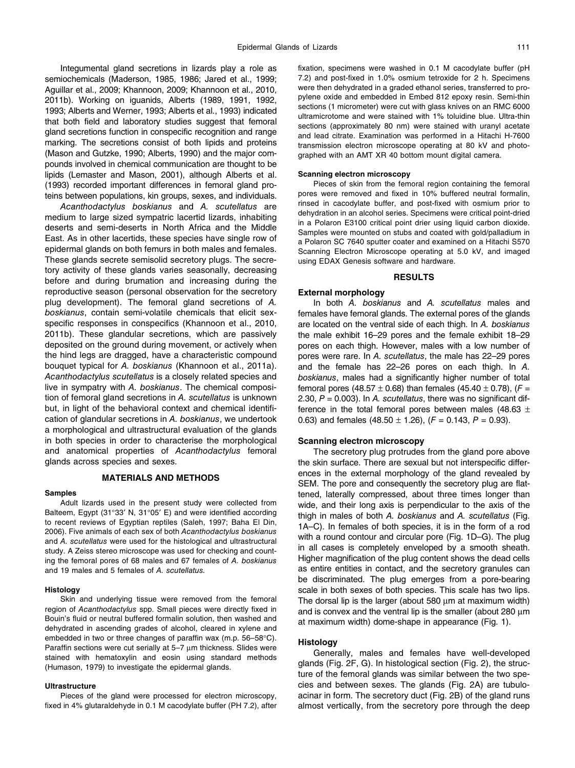Integumental gland secretions in lizards play a role as semiochemicals (Maderson, 1985, 1986; Jared et al., 1999; Aguillar et al., 2009; Khannoon, 2009; Khannoon et al., 2010, 2011b). Working on iguanids, Alberts (1989, 1991, 1992, 1993; Alberts and Werner, 1993; Alberts et al., 1993) indicated that both field and laboratory studies suggest that femoral gland secretions function in conspecific recognition and range marking. The secretions consist of both lipids and proteins (Mason and Gutzke, 1990; Alberts, 1990) and the major compounds involved in chemical communication are thought to be lipids (Lemaster and Mason, 2001), although Alberts et al. (1993) recorded important differences in femoral gland proteins between populations, kin groups, sexes, and individuals.

*Acanthodactylus boskianus* and *A. scutellatus* are medium to large sized sympatric lacertid lizards, inhabiting deserts and semi-deserts in North Africa and the Middle East. As in other lacertids, these species have single row of epidermal glands on both femurs in both males and females. These glands secrete semisolid secretory plugs. The secretory activity of these glands varies seasonally, decreasing before and during brumation and increasing during the reproductive season (personal observation for the secretory plug development). The femoral gland secretions of *A. boskianus*, contain semi-volatile chemicals that elicit sexspecific responses in conspecifics (Khannoon et al., 2010, 2011b). These glandular secretions, which are passively deposited on the ground during movement, or actively when the hind legs are dragged, have a characteristic compound bouquet typical for *A. boskianus* (Khannoon et al., 2011a). *Acanthodactylus scutellatus* is a closely related species and live in sympatry with *A. boskianus*. The chemical composition of femoral gland secretions in *A. scutellatus* is unknown but, in light of the behavioral context and chemical identification of glandular secretions in *A. boskianus*, we undertook a morphological and ultrastructural evaluation of the glands in both species in order to characterise the morphological and anatomical properties of *Acanthodactylus* femoral glands across species and sexes.

## **MATERIALS AND METHODS**

#### **Samples**

Adult lizards used in the present study were collected from Balteem, Egypt (31°33′ N, 31°05′ E) and were identified according to recent reviews of Egyptian reptiles (Saleh, 1997; Baha El Din, 2006). Five animals of each sex of both *Acanthodactylus boskianus* and *A. scutellatus* were used for the histological and ultrastructural study. A Zeiss stereo microscope was used for checking and counting the femoral pores of 68 males and 67 females of *A. boskianus* and 19 males and 5 females of *A. scutellatus.*

#### **Histology**

Skin and underlying tissue were removed from the femoral region of *Acanthodactylus* spp. Small pieces were directly fixed in Bouin's fluid or neutral buffered formalin solution, then washed and dehydrated in ascending grades of alcohol, cleared in xylene and embedded in two or three changes of paraffin wax (m.p. 56–58°C). Paraffin sections were cut serially at 5–7 µm thickness. Slides were stained with hematoxylin and eosin using standard methods (Humason, 1979) to investigate the epidermal glands.

#### **Ultrastructure**

Pieces of the gland were processed for electron microscopy, fixed in 4% glutaraldehyde in 0.1 M cacodylate buffer (PH 7.2), after fixation, specimens were washed in 0.1 M cacodylate buffer (pH 7.2) and post-fixed in 1.0% osmium tetroxide for 2 h. Specimens were then dehydrated in a graded ethanol series, transferred to propylene oxide and embedded in Embed 812 epoxy resin. Semi-thin sections (1 micrometer) were cut with glass knives on an RMC 6000 ultramicrotome and were stained with 1% toluidine blue. Ultra-thin sections (approximately 80 nm) were stained with uranyl acetate and lead citrate. Examination was performed in a Hitachi H-7600 transmission electron microscope operating at 80 kV and photographed with an AMT XR 40 bottom mount digital camera.

#### **Scanning electron microscopy**

Pieces of skin from the femoral region containing the femoral pores were removed and fixed in 10% buffered neutral formalin, rinsed in cacodylate buffer, and post-fixed with osmium prior to dehydration in an alcohol series. Specimens were critical point-dried in a Polaron E3100 critical point drier using liquid carbon dioxide. Samples were mounted on stubs and coated with gold/palladium in a Polaron SC 7640 sputter coater and examined on a Hitachi S570 Scanning Electron Microscope operating at 5.0 kV, and imaged using EDAX Genesis software and hardware.

#### **RESULTS**

#### **External morphology**

In both *A. boskianus* and *A. scutellatus* males and females have femoral glands. The external pores of the glands are located on the ventral side of each thigh. In *A. boskianus* the male exhibit 16–29 pores and the female exhibit 18–29 pores on each thigh. However, males with a low number of pores were rare. In *A. scutellatus*, the male has 22–29 pores and the female has 22–26 pores on each thigh. In *A. boskianus*, males had a significantly higher number of total femoral pores (48.57  $\pm$  0.68) than females (45.40  $\pm$  0.78), ( $F =$ 2.30, *P* = 0.003). In *A. scutellatus*, there was no significant difference in the total femoral pores between males (48.63  $\pm$ 0.63) and females  $(48.50 \pm 1.26)$ ,  $(F = 0.143, P = 0.93)$ .

#### **Scanning electron microscopy**

The secretory plug protrudes from the gland pore above the skin surface. There are sexual but not interspecific differences in the external morphology of the gland revealed by SEM. The pore and consequently the secretory plug are flattened, laterally compressed, about three times longer than wide, and their long axis is perpendicular to the axis of the thigh in males of both *A. boskianus* and *A. scutellatus* (Fig. 1A–C). In females of both species, it is in the form of a rod with a round contour and circular pore (Fig. 1D–G). The plug in all cases is completely enveloped by a smooth sheath. Higher magnification of the plug content shows the dead cells as entire entities in contact, and the secretory granules can be discriminated. The plug emerges from a pore-bearing scale in both sexes of both species. This scale has two lips. The dorsal lip is the larger (about 580  $\mu$ m at maximum width) and is convex and the ventral lip is the smaller (about 280  $\mu$ m at maximum width) dome-shape in appearance (Fig. 1).

## **Histology**

Generally, males and females have well-developed glands (Fig. 2F, G). In histological section (Fig. 2), the structure of the femoral glands was similar between the two species and between sexes. The glands (Fig. 2A) are tubuloacinar in form. The secretory duct (Fig. 2B) of the gland runs almost vertically, from the secretory pore through the deep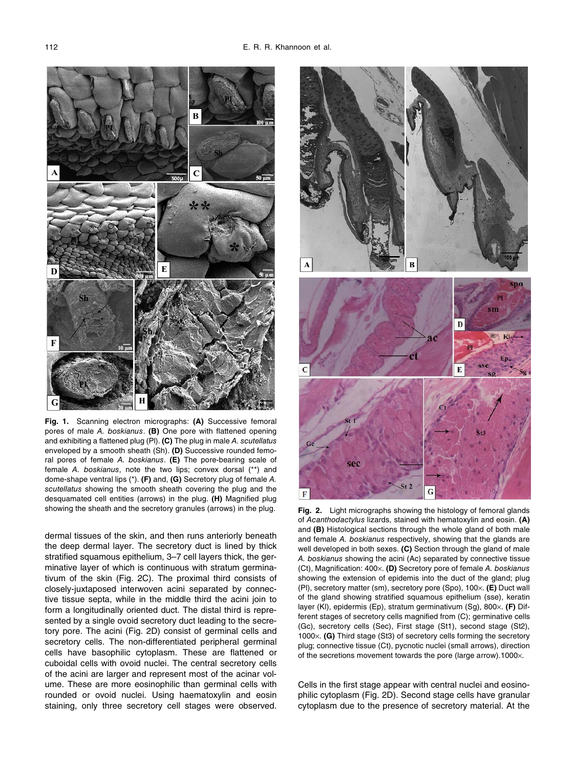

Fig. 1. Scanning electron micrographs: (A) Successive femoral pores of male *A. boskianus*. **(B)** One pore with flattened opening and exhibiting a flattened plug (Pl). **(C)** The plug in male *A. scutellatus* enveloped by a smooth sheath (Sh). **(D)** Successive rounded femoral pores of female *A. boskianus*. **(E)** The pore-bearing scale of female *A. boskianus*, note the two lips; convex dorsal (\*\*) and dome-shape ventral lips (\*). **(F)** and, **(G)** Secretory plug of female *A. scutellatus* showing the smooth sheath covering the plug and the desquamated cell entities (arrows) in the plug. **(H)** Magnified plug showing the sheath and the secretory granules (arrows) in the plug.

dermal tissues of the skin, and then runs anteriorly beneath the deep dermal layer. The secretory duct is lined by thick stratified squamous epithelium, 3–7 cell layers thick, the germinative layer of which is continuous with stratum germinativum of the skin (Fig. 2C). The proximal third consists of closely-juxtaposed interwoven acini separated by connective tissue septa, while in the middle third the acini join to form a longitudinally oriented duct. The distal third is represented by a single ovoid secretory duct leading to the secretory pore. The acini (Fig. 2D) consist of germinal cells and secretory cells. The non-differentiated peripheral germinal cells have basophilic cytoplasm. These are flattened or cuboidal cells with ovoid nuclei. The central secretory cells of the acini are larger and represent most of the acinar volume. These are more eosinophilic than germinal cells with rounded or ovoid nuclei. Using haematoxylin and eosin staining, only three secretory cell stages were observed.



**2.** Light micrographs showing the histology of femoral glands of *Acanthodactylus* lizards, stained with hematoxylin and eosin. **(A)** and **(B)** Histological sections through the whole gland of both male and female *A. boskianus* respectively, showing that the glands are well developed in both sexes. **(C)** Section through the gland of male *A. boskianus* showing the acini (Ac) separated by connective tissue (Ct), Magnification: 400×. **(D)** Secretory pore of female *A. boskianus* showing the extension of epidemis into the duct of the gland; plug (Pl), secretory matter (sm), secretory pore (Spo), 100×. **(E)** Duct wall of the gland showing stratified squamous epithelium (sse), keratin layer (Kl), epidermis (Ep), stratum germinativum (Sg), 800×. **(F)** Different stages of secretory cells magnified from (C); germinative cells (Gc), secretory cells (Sec), First stage (St1), second stage (St2), 1000×. **(G)** Third stage (St3) of secretory cells forming the secretory plug; connective tissue (Ct), pycnotic nuclei (small arrows), direction of the secretions movement towards the pore (large arrow).1000×.

Cells in the first stage appear with central nuclei and eosinophilic cytoplasm (Fig. 2D). Second stage cells have granular cytoplasm due to the presence of secretory material. At the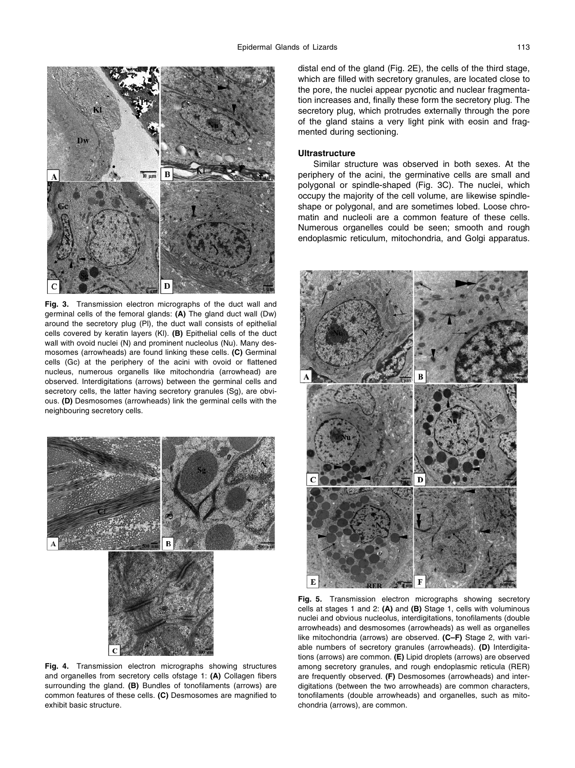

Fig. 3. Transmission electron micrographs of the duct wall and germinal cells of the femoral glands: **(A)** The gland duct wall (Dw) around the secretory plug (Pl), the duct wall consists of epithelial cells covered by keratin layers (Kl). **(B)** Epithelial cells of the duct wall with ovoid nuclei (N) and prominent nucleolus (Nu). Many desmosomes (arrowheads) are found linking these cells. **(C)** Germinal cells (Gc) at the periphery of the acini with ovoid or flattened nucleus, numerous organells like mitochondria (arrowhead) are observed. Interdigitations (arrows) between the germinal cells and secretory cells, the latter having secretory granules (Sg), are obvious. **(D)** Desmosomes (arrowheads) link the germinal cells with the neighbouring secretory cells.



Fig. 4. Transmission electron micrographs showing structures and organelles from secretory cells ofstage 1: **(A)** Collagen fibers surrounding the gland. **(B)** Bundles of tonofilaments (arrows) are common features of these cells. **(C)** Desmosomes are magnified to exhibit basic structure.

distal end of the gland (Fig. 2E), the cells of the third stage, which are filled with secretory granules, are located close to the pore, the nuclei appear pycnotic and nuclear fragmentation increases and, finally these form the secretory plug. The secretory plug, which protrudes externally through the pore of the gland stains a very light pink with eosin and fragmented during sectioning.

### **Ultrastructure**

Similar structure was observed in both sexes. At the periphery of the acini, the germinative cells are small and polygonal or spindle-shaped (Fig. 3C). The nuclei, which occupy the majority of the cell volume, are likewise spindleshape or polygonal, and are sometimes lobed. Loose chromatin and nucleoli are a common feature of these cells. Numerous organelles could be seen; smooth and rough endoplasmic reticulum, mitochondria, and Golgi apparatus.



Fig. 5. Transmission electron micrographs showing secretory cells at stages 1 and 2: **(A)** and **(B)** Stage 1, cells with voluminous nuclei and obvious nucleolus, interdigitations, tonofilaments (double arrowheads) and desmosomes (arrowheads) as well as organelles like mitochondria (arrows) are observed. **(C–F)** Stage 2, with variable numbers of secretory granules (arrowheads). **(D)** Interdigitations (arrows) are common. **(E)** Lipid droplets (arrows) are observed among secretory granules, and rough endoplasmic reticula (RER) are frequently observed. **(F)** Desmosomes (arrowheads) and interdigitations (between the two arrowheads) are common characters, tonofilaments (double arrowheads) and organelles, such as mitochondria (arrows), are common.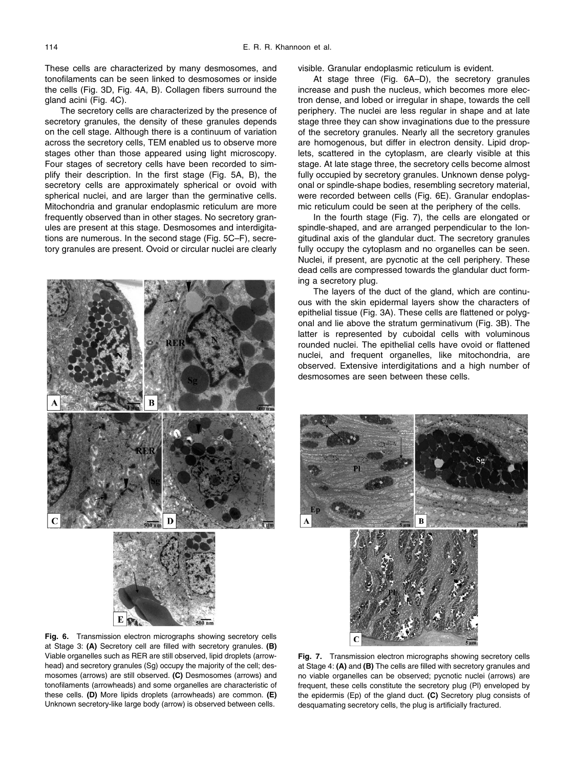These cells are characterized by many desmosomes, and tonofilaments can be seen linked to desmosomes or inside the cells (Fig. 3D, Fig. 4A, B). Collagen fibers surround the gland acini (Fig. 4C).

The secretory cells are characterized by the presence of secretory granules, the density of these granules depends on the cell stage. Although there is a continuum of variation across the secretory cells, TEM enabled us to observe more stages other than those appeared using light microscopy. Four stages of secretory cells have been recorded to simplify their description. In the first stage (Fig. 5A, B), the secretory cells are approximately spherical or ovoid with spherical nuclei, and are larger than the germinative cells. Mitochondria and granular endoplasmic reticulum are more frequently observed than in other stages. No secretory granules are present at this stage. Desmosomes and interdigitations are numerous. In the second stage (Fig. 5C–F), secretory granules are present. Ovoid or circular nuclei are clearly



visible. Granular endoplasmic reticulum is evident.

At stage three (Fig. 6A–D), the secretory granules increase and push the nucleus, which becomes more electron dense, and lobed or irregular in shape, towards the cell periphery. The nuclei are less regular in shape and at late stage three they can show invaginations due to the pressure of the secretory granules. Nearly all the secretory granules are homogenous, but differ in electron density. Lipid droplets, scattered in the cytoplasm, are clearly visible at this stage. At late stage three, the secretory cells become almost fully occupied by secretory granules. Unknown dense polygonal or spindle-shape bodies, resembling secretory material, were recorded between cells (Fig. 6E). Granular endoplasmic reticulum could be seen at the periphery of the cells.

In the fourth stage (Fig. 7), the cells are elongated or spindle-shaped, and are arranged perpendicular to the longitudinal axis of the glandular duct. The secretory granules fully occupy the cytoplasm and no organelles can be seen. Nuclei, if present, are pycnotic at the cell periphery. These dead cells are compressed towards the glandular duct forming a secretory plug.

The layers of the duct of the gland, which are continuous with the skin epidermal layers show the characters of epithelial tissue (Fig. 3A). These cells are flattened or polygonal and lie above the stratum germinativum (Fig. 3B). The latter is represented by cuboidal cells with voluminous rounded nuclei. The epithelial cells have ovoid or flattened nuclei, and frequent organelles, like mitochondria, are observed. Extensive interdigitations and a high number of desmosomes are seen between these cells.



Fig. 6. Transmission electron micrographs showing secretory cells at Stage 3: **(A)** Secretory cell are filled with secretory granules. **(B)** Viable organelles such as RER are still observed, lipid droplets (arrowhead) and secretory granules (Sg) occupy the majority of the cell; desmosomes (arrows) are still observed. **(C)** Desmosomes (arrows) and tonofilaments (arrowheads) and some organelles are characteristic of these cells. **(D)** More lipids droplets (arrowheads) are common. **(E)** Unknown secretory-like large body (arrow) is observed between cells.

Fig. 7. Transmission electron micrographs showing secretory cells at Stage 4: **(A)** and **(B)** The cells are filled with secretory granules and no viable organelles can be observed; pycnotic nuclei (arrows) are frequent, these cells constitute the secretory plug (Pl) enveloped by the epidermis (Ep) of the gland duct. **(C)** Secretory plug consists of desquamating secretory cells, the plug is artificially fractured.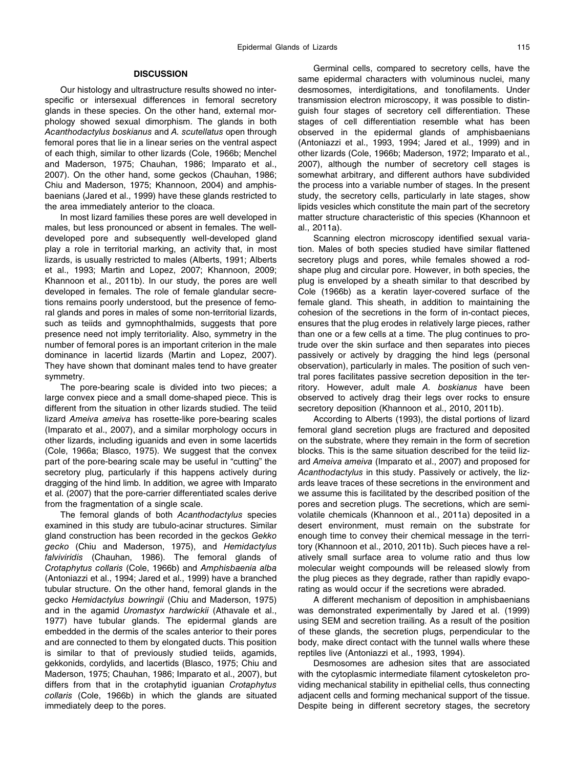## **DISCUSSION**

Our histology and ultrastructure results showed no interspecific or intersexual differences in femoral secretory glands in these species. On the other hand, external morphology showed sexual dimorphism. The glands in both *Acanthodactylus boskianus* and *A. scutellatus* open through femoral pores that lie in a linear series on the ventral aspect of each thigh, similar to other lizards (Cole, 1966b; Menchel and Maderson, 1975; Chauhan, 1986; Imparato et al., 2007). On the other hand, some geckos (Chauhan, 1986; Chiu and Maderson, 1975; Khannoon, 2004) and amphisbaenians (Jared et al., 1999) have these glands restricted to the area immediately anterior to the cloaca.

In most lizard families these pores are well developed in males, but less pronounced or absent in females. The welldeveloped pore and subsequently well-developed gland play a role in territorial marking, an activity that, in most lizards, is usually restricted to males (Alberts, 1991; Alberts et al., 1993; Martin and Lopez, 2007; Khannoon, 2009; Khannoon et al., 2011b). In our study, the pores are well developed in females. The role of female glandular secretions remains poorly understood, but the presence of femoral glands and pores in males of some non-territorial lizards, such as teiids and gymnophthalmids, suggests that pore presence need not imply territoriality. Also, symmetry in the number of femoral pores is an important criterion in the male dominance in lacertid lizards (Martin and Lopez, 2007). They have shown that dominant males tend to have greater symmetry.

The pore-bearing scale is divided into two pieces; a large convex piece and a small dome-shaped piece. This is different from the situation in other lizards studied. The teiid lizard *Ameiva ameiva* has rosette-like pore-bearing scales (Imparato et al., 2007), and a similar morphology occurs in other lizards, including iguanids and even in some lacertids (Cole, 1966a; Blasco, 1975). We suggest that the convex part of the pore-bearing scale may be useful in "cutting" the secretory plug, particularly if this happens actively during dragging of the hind limb. In addition, we agree with Imparato et al. (2007) that the pore-carrier differentiated scales derive from the fragmentation of a single scale.

The femoral glands of both *Acanthodactylus* species examined in this study are tubulo-acinar structures. Similar gland construction has been recorded in the geckos *Gekko gecko* (Chiu and Maderson, 1975), and *Hemidactylus falviviridis* (Chauhan, 1986). The femoral glands of *Crotaphytus collaris* (Cole, 1966b) and *Amphisbaenia alba* (Antoniazzi et al., 1994; Jared et al., 1999) have a branched tubular structure. On the other hand, femoral glands in the gecko *Hemidactylus bowringii* (Chiu and Maderson, 1975) and in the agamid *Uromastyx hardwickii* (Athavale et al., 1977) have tubular glands. The epidermal glands are embedded in the dermis of the scales anterior to their pores and are connected to them by elongated ducts. This position is similar to that of previously studied teiids, agamids, gekkonids, cordylids, and lacertids (Blasco, 1975; Chiu and Maderson, 1975; Chauhan, 1986; Imparato et al., 2007), but differs from that in the crotaphytid iguanian *Crotaphytus collaris* (Cole, 1966b) in which the glands are situated immediately deep to the pores.

Germinal cells, compared to secretory cells, have the same epidermal characters with voluminous nuclei, many desmosomes, interdigitations, and tonofilaments. Under transmission electron microscopy, it was possible to distinguish four stages of secretory cell differentiation. These stages of cell differentiation resemble what has been observed in the epidermal glands of amphisbaenians (Antoniazzi et al., 1993, 1994; Jared et al., 1999) and in other lizards (Cole, 1966b; Maderson, 1972; Imparato et al., 2007), although the number of secretory cell stages is somewhat arbitrary, and different authors have subdivided the process into a variable number of stages. In the present study, the secretory cells, particularly in late stages, show lipids vesicles which constitute the main part of the secretory matter structure characteristic of this species (Khannoon et al., 2011a).

Scanning electron microscopy identified sexual variation. Males of both species studied have similar flattened secretory plugs and pores, while females showed a rodshape plug and circular pore. However, in both species, the plug is enveloped by a sheath similar to that described by Cole (1966b) as a keratin layer-covered surface of the female gland. This sheath, in addition to maintaining the cohesion of the secretions in the form of in-contact pieces, ensures that the plug erodes in relatively large pieces, rather than one or a few cells at a time. The plug continues to protrude over the skin surface and then separates into pieces passively or actively by dragging the hind legs (personal observation), particularly in males. The position of such ventral pores facilitates passive secretion deposition in the territory. However, adult male *A. boskianus* have been observed to actively drag their legs over rocks to ensure secretory deposition (Khannoon et al., 2010, 2011b).

According to Alberts (1993), the distal portions of lizard femoral gland secretion plugs are fractured and deposited on the substrate, where they remain in the form of secretion blocks. This is the same situation described for the teiid lizard *Ameiva ameiva* (Imparato et al., 2007) and proposed for *Acanthodactylus* in this study. Passively or actively, the lizards leave traces of these secretions in the environment and we assume this is facilitated by the described position of the pores and secretion plugs. The secretions, which are semivolatile chemicals (Khannoon et al., 2011a) deposited in a desert environment, must remain on the substrate for enough time to convey their chemical message in the territory (Khannoon et al., 2010, 2011b). Such pieces have a relatively small surface area to volume ratio and thus low molecular weight compounds will be released slowly from the plug pieces as they degrade, rather than rapidly evaporating as would occur if the secretions were abraded.

A different mechanism of deposition in amphisbaenians was demonstrated experimentally by Jared et al. (1999) using SEM and secretion trailing. As a result of the position of these glands, the secretion plugs, perpendicular to the body, make direct contact with the tunnel walls where these reptiles live (Antoniazzi et al., 1993, 1994).

Desmosomes are adhesion sites that are associated with the cytoplasmic intermediate filament cytoskeleton providing mechanical stability in epithelial cells, thus connecting adjacent cells and forming mechanical support of the tissue. Despite being in different secretory stages, the secretory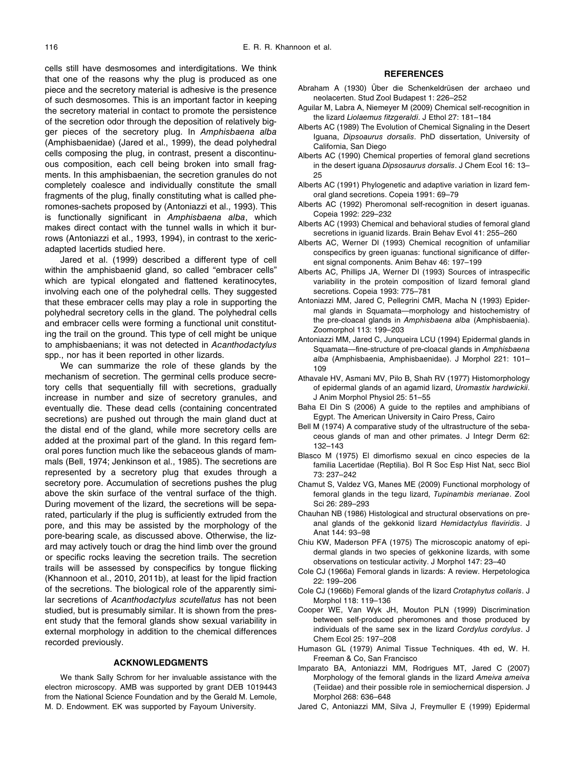cells still have desmosomes and interdigitations. We think that one of the reasons why the plug is produced as one piece and the secretory material is adhesive is the presence of such desmosomes. This is an important factor in keeping the secretory material in contact to promote the persistence of the secretion odor through the deposition of relatively bigger pieces of the secretory plug. In *Amphisbaena alba* (Amphisbaenidae) (Jared et al., 1999), the dead polyhedral cells composing the plug, in contrast, present a discontinuous composition, each cell being broken into small fragments. In this amphisbaenian, the secretion granules do not completely coalesce and individually constitute the small fragments of the plug, finally constituting what is called pheromones-sachets proposed by (Antoniazzi et al., 1993). This is functionally significant in *Amphisbaena alba*, which makes direct contact with the tunnel walls in which it burrows (Antoniazzi et al., 1993, 1994), in contrast to the xericadapted lacertids studied here.

Jared et al. (1999) described a different type of cell within the amphisbaenid gland, so called "embracer cells" which are typical elongated and flattened keratinocytes, involving each one of the polyhedral cells. They suggested that these embracer cells may play a role in supporting the polyhedral secretory cells in the gland. The polyhedral cells and embracer cells were forming a functional unit constituting the trail on the ground. This type of cell might be unique to amphisbaenians; it was not detected in *Acanthodactylus* spp., nor has it been reported in other lizards.

We can summarize the role of these glands by the mechanism of secretion. The germinal cells produce secretory cells that sequentially fill with secretions, gradually increase in number and size of secretory granules, and eventually die. These dead cells (containing concentrated secretions) are pushed out through the main gland duct at the distal end of the gland, while more secretory cells are added at the proximal part of the gland. In this regard femoral pores function much like the sebaceous glands of mammals (Bell, 1974; Jenkinson et al., 1985). The secretions are represented by a secretory plug that exudes through a secretory pore. Accumulation of secretions pushes the plug above the skin surface of the ventral surface of the thigh. During movement of the lizard, the secretions will be separated, particularly if the plug is sufficiently extruded from the pore, and this may be assisted by the morphology of the pore-bearing scale, as discussed above. Otherwise, the lizard may actively touch or drag the hind limb over the ground or specific rocks leaving the secretion trails. The secretion trails will be assessed by conspecifics by tongue flicking (Khannoon et al., 2010, 2011b), at least for the lipid fraction of the secretions. The biological role of the apparently similar secretions of *Acanthodactylus scutellatus* has not been studied, but is presumably similar. It is shown from the present study that the femoral glands show sexual variability in external morphology in addition to the chemical differences recorded previously.

## **ACKNOWLEDGMENTS**

We thank Sally Schrom for her invaluable assistance with the electron microscopy. AMB was supported by grant DEB 1019443 from the National Science Foundation and by the Gerald M. Lemole, M. D. Endowment. EK was supported by Fayoum University.

## **REFERENCES**

- Abraham A (1930) Über die Schenkeldrüsen der archaeo und neolacerten. Stud Zool Budapest 1: 226–252
- Aguilar M, Labra A, Niemeyer M (2009) Chemical self-recognition in the lizard *Liolaemus fitzgeraldi*. J Ethol 27: 181–184
- Alberts AC (1989) The Evolution of Chemical Signaling in the Desert Iguana, *Dipsoaurus dorsalis*. PhD dissertation, University of California, San Diego
- Alberts AC (1990) Chemical properties of femoral gland secretions in the desert iguana *Dipsosaurus dorsalis*. J Chem Ecol 16: 13– 25
- Alberts AC (1991) Phylogenetic and adaptive variation in lizard femoral gland secretions. Copeia 1991: 69–79
- Alberts AC (1992) Pheromonal self-recognition in desert iguanas. Copeia 1992: 229–232
- Alberts AC (1993) Chemical and behavioral studies of femoral gland secretions in iguanid lizards. Brain Behav Evol 41: 255–260
- Alberts AC, Werner DI (1993) Chemical recognition of unfamiliar conspecifics by green iguanas: functional significance of different signal components. Anim Behav 46: 197–199
- Alberts AC, Phillips JA, Werner DI (1993) Sources of intraspecific variability in the protein composition of lizard femoral gland secretions. Copeia 1993: 775–781
- Antoniazzi MM, Jared C, Pellegrini CMR, Macha N (1993) Epidermal glands in Squamata—morphology and histochemistry of the pre-cloacal glands in *Amphisbaena alba* (Amphisbaenia). Zoomorphol 113: 199–203
- Antoniazzi MM, Jared C, Junqueira LCU (1994) Epidermal glands in Squamata—fine-structure of pre-cloacal glands in *Amphisbaena alba* (Amphisbaenia, Amphisbaenidae). J Morphol 221: 101– 109
- Athavale HV, Asmani MV, Pilo B, Shah RV (1977) Histomorphology of epidermal glands of an agamid lizard, *Uromastix hardwickii*. J Anim Morphol Physiol 25: 51–55
- Baha El Din S (2006) A guide to the reptiles and amphibians of Egypt. The American University in Cairo Press, Cairo
- Bell M (1974) A comparative study of the ultrastructure of the sebaceous glands of man and other primates. J Integr Derm 62: 132–143
- Blasco M (1975) El dimorfismo sexual en cinco especies de la familia Lacertidae (Reptilia). Bol R Soc Esp Hist Nat, secc Biol 73: 237–242
- Chamut S, Valdez VG, Manes ME (2009) Functional morphology of femoral glands in the tegu lizard, *Tupinambis merianae*. Zool Sci 26: 289–293
- Chauhan NB (1986) Histological and structural observations on preanal glands of the gekkonid lizard *Hemidactylus flaviridis*. J Anat 144: 93–98
- Chiu KW, Maderson PFA (1975) The microscopic anatomy of epidermal glands in two species of gekkonine lizards, with some observations on testicular activity. J Morphol 147: 23–40
- Cole CJ (1966a) Femoral glands in lizards: A review. Herpetologica 22: 199–206
- Cole CJ (1966b) Femoral glands of the lizard *Crotaphytus collaris*. J Morphol 118: 119–136
- Cooper WE, Van Wyk JH, Mouton PLN (1999) Discrimination between self-produced pheromones and those produced by individuals of the same sex in the lizard *Cordylus cordylus*. J Chem Ecol 25: 197–208
- Humason GL (1979) Animal Tissue Techniques. 4th ed, W. H. Freeman & Co, San Francisco
- Imparato BA, Antoniazzi MM, Rodrigues MT, Jared C (2007) Morphology of the femoral glands in the lizard *Ameiva ameiva* (Teiidae) and their possible role in semiochernical dispersion. J Morphol 268: 636–648
- Jared C, Antoniazzi MM, Silva J, Freymuller E (1999) Epidermal